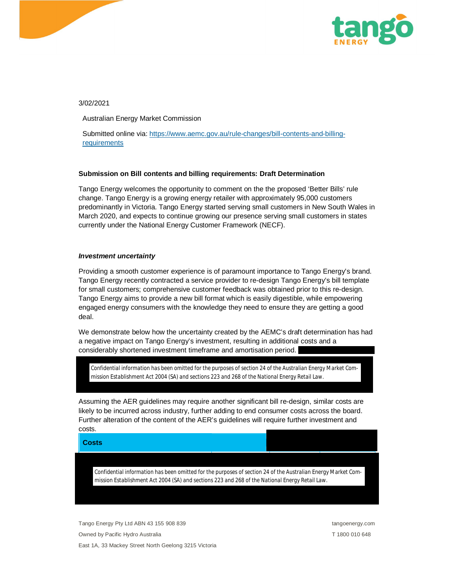

3/02/2021

Australian Energy Market Commission

Submitted online via: https://www.aemc.gov.au/rule-changes/bill-contents-and-billingrequirements

## **Submission on Bill contents and billing requirements: Draft Determination**

Tango Energy welcomes the opportunity to comment on the the proposed 'Better Bills' rule change. Tango Energy is a growing energy retailer with approximately 95,000 customers predominantly in Victoria. Tango Energy started serving small customers in New South Wales in March 2020, and expects to continue growing our presence serving small customers in states currently under the National Energy Customer Framework (NECF).

## *Investment uncertainty*

Providing a smooth customer experience is of paramount importance to Tango Energy's brand. Tango Energy recently contracted a service provider to re-design Tango Energy's bill template for small customers; comprehensive customer feedback was obtained prior to this re-design. Tango Energy aims to provide a new bill format which is easily digestible, while empowering engaged energy consumers with the knowledge they need to ensure they are getting a good deal.

We demonstrate below how the uncertainty created by the AEMC's draft determination has had a negative impact on Tango Energy's investment, resulting in additional costs and a considerably shortened investment timeframe and amortisation period.

*Confidential information has been omitted for the purposes of section 24 of the Australian Energy Market Commission Establishment Act 2004 (SA) and sections 223 and 268 of the National Energy Retail Law.*

Assuming the AER guidelines may require another significant bill re-design, similar costs are likely to be incurred across industry, further adding to end consumer costs across the board. Further alteration of the content of the AER's guidelines will require further investment and costs.

**Costs**

*Confidential information has been omitted for the purposes of section 24 of the Australian Energy Market Commission Establishment Act 2004 (SA) and sections 223 and 268 of the National Energy Retail Law.*

Tango Energy Pty Ltd ABN 43 155 908 839 tangoenergy.com tangoenergy.com Owned by Pacific Hydro Australia **T** 1800 010 648 East 1A, 33 Mackey Street North Geelong 3215 Victoria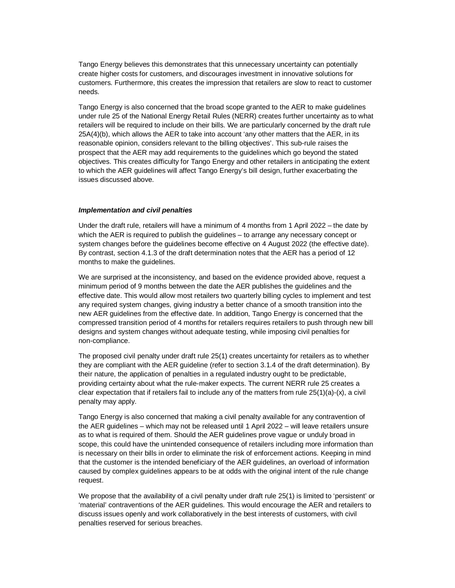Tango Energy believes this demonstrates that this unnecessary uncertainty can potentially create higher costs for customers, and discourages investment in innovative solutions for customers. Furthermore, this creates the impression that retailers are slow to react to customer needs.

Tango Energy is also concerned that the broad scope granted to the AER to make guidelines under rule 25 of the National Energy Retail Rules (NERR) creates further uncertainty as to what retailers will be required to include on their bills. We are particularly concerned by the draft rule 25A(4)(b), which allows the AER to take into account 'any other matters that the AER, in its reasonable opinion, considers relevant to the billing objectives'. This sub-rule raises the prospect that the AER may add requirements to the guidelines which go beyond the stated objectives. This creates difficulty for Tango Energy and other retailers in anticipating the extent to which the AER guidelines will affect Tango Energy's bill design, further exacerbating the issues discussed above.

## *Implementation and civil penalties*

Under the draft rule, retailers will have a minimum of 4 months from 1 April 2022 – the date by which the AER is required to publish the guidelines – to arrange any necessary concept or system changes before the guidelines become effective on 4 August 2022 (the effective date). By contrast, section 4.1.3 of the draft determination notes that the AER has a period of 12 months to make the guidelines.

We are surprised at the inconsistency, and based on the evidence provided above, request a minimum period of 9 months between the date the AER publishes the guidelines and the effective date. This would allow most retailers two quarterly billing cycles to implement and test any required system changes, giving industry a better chance of a smooth transition into the new AER guidelines from the effective date. In addition, Tango Energy is concerned that the compressed transition period of 4 months for retailers requires retailers to push through new bill designs and system changes without adequate testing, while imposing civil penalties for non-compliance.

The proposed civil penalty under draft rule 25(1) creates uncertainty for retailers as to whether they are compliant with the AER guideline (refer to section 3.1.4 of the draft determination). By their nature, the application of penalties in a regulated industry ought to be predictable, providing certainty about what the rule-maker expects. The current NERR rule 25 creates a clear expectation that if retailers fail to include any of the matters from rule  $25(1)(a)-(x)$ , a civil penalty may apply.

Tango Energy is also concerned that making a civil penalty available for any contravention of the AER guidelines – which may not be released until 1 April 2022 – will leave retailers unsure as to what is required of them. Should the AER guidelines prove vague or unduly broad in scope, this could have the unintended consequence of retailers including more information than is necessary on their bills in order to eliminate the risk of enforcement actions. Keeping in mind that the customer is the intended beneficiary of the AER guidelines, an overload of information caused by complex guidelines appears to be at odds with the original intent of the rule change request.

We propose that the availability of a civil penalty under draft rule 25(1) is limited to 'persistent' or 'material' contraventions of the AER guidelines. This would encourage the AER and retailers to discuss issues openly and work collaboratively in the best interests of customers, with civil penalties reserved for serious breaches.